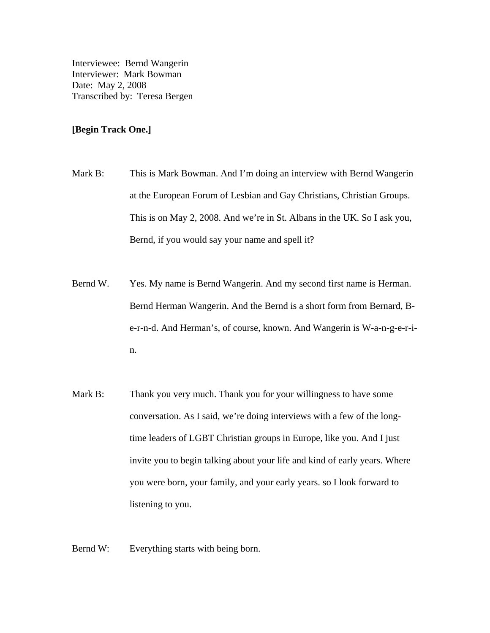Interviewee: Bernd Wangerin Interviewer: Mark Bowman Date: May 2, 2008 Transcribed by: Teresa Bergen

## **[Begin Track One.]**

- Mark B: This is Mark Bowman. And I'm doing an interview with Bernd Wangerin at the European Forum of Lesbian and Gay Christians, Christian Groups. This is on May 2, 2008. And we're in St. Albans in the UK. So I ask you, Bernd, if you would say your name and spell it?
- Bernd W. Yes. My name is Bernd Wangerin. And my second first name is Herman. Bernd Herman Wangerin. And the Bernd is a short form from Bernard, Be-r-n-d. And Herman's, of course, known. And Wangerin is W-a-n-g-e-r-in.
- Mark B: Thank you very much. Thank you for your willingness to have some conversation. As I said, we're doing interviews with a few of the longtime leaders of LGBT Christian groups in Europe, like you. And I just invite you to begin talking about your life and kind of early years. Where you were born, your family, and your early years. so I look forward to listening to you.

Bernd W: Everything starts with being born.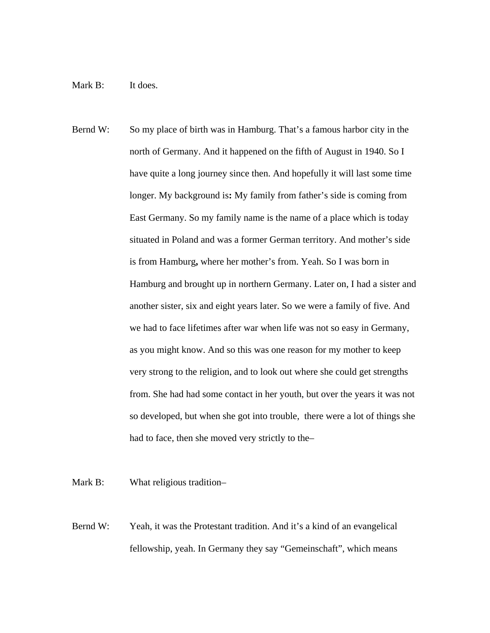## Mark B: It does.

Bernd W: So my place of birth was in Hamburg. That's a famous harbor city in the north of Germany. And it happened on the fifth of August in 1940. So I have quite a long journey since then. And hopefully it will last some time longer. My background is**:** My family from father's side is coming from East Germany. So my family name is the name of a place which is today situated in Poland and was a former German territory. And mother's side is from Hamburg**,** where her mother's from. Yeah. So I was born in Hamburg and brought up in northern Germany. Later on, I had a sister and another sister, six and eight years later. So we were a family of five. And we had to face lifetimes after war when life was not so easy in Germany, as you might know. And so this was one reason for my mother to keep very strong to the religion, and to look out where she could get strengths from. She had had some contact in her youth, but over the years it was not so developed, but when she got into trouble, there were a lot of things she had to face, then she moved very strictly to the–

Mark B: What religious tradition-

Bernd W: Yeah, it was the Protestant tradition. And it's a kind of an evangelical fellowship, yeah. In Germany they say "Gemeinschaft", which means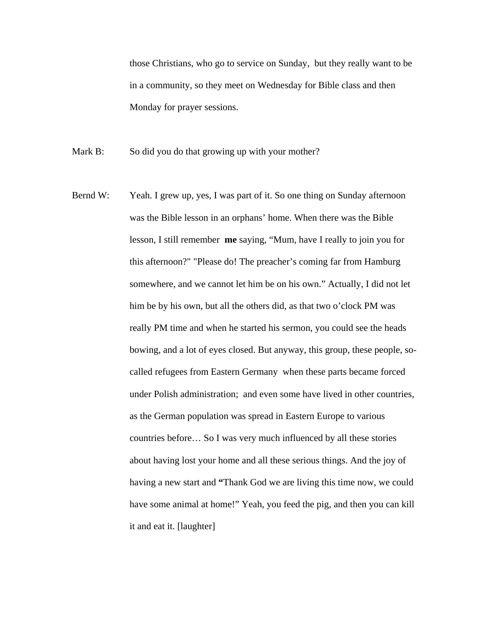those Christians, who go to service on Sunday, but they really want to be in a community, so they meet on Wednesday for Bible class and then Monday for prayer sessions.

Mark B: So did you do that growing up with your mother?

Bernd W: Yeah. I grew up, yes, I was part of it. So one thing on Sunday afternoon was the Bible lesson in an orphans' home. When there was the Bible lesson, I still remember **me** saying, "Mum, have I really to join you for this afternoon?" "Please do! The preacher's coming far from Hamburg somewhere, and we cannot let him be on his own." Actually, I did not let him be by his own, but all the others did, as that two o'clock PM was really PM time and when he started his sermon, you could see the heads bowing, and a lot of eyes closed. But anyway, this group, these people, socalled refugees from Eastern Germany when these parts became forced under Polish administration; and even some have lived in other countries, as the German population was spread in Eastern Europe to various countries before… So I was very much influenced by all these stories about having lost your home and all these serious things. And the joy of having a new start and **"**Thank God we are living this time now, we could have some animal at home!" Yeah, you feed the pig, and then you can kill it and eat it. [laughter]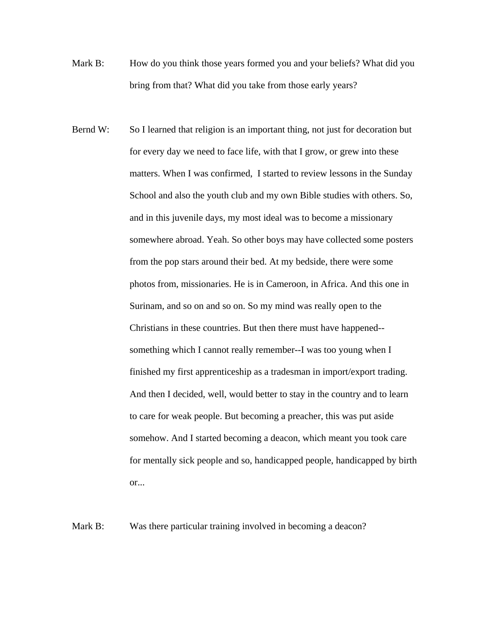- Mark B: How do you think those years formed you and your beliefs? What did you bring from that? What did you take from those early years?
- Bernd W: So I learned that religion is an important thing, not just for decoration but for every day we need to face life, with that I grow, or grew into these matters. When I was confirmed, I started to review lessons in the Sunday School and also the youth club and my own Bible studies with others. So, and in this juvenile days, my most ideal was to become a missionary somewhere abroad. Yeah. So other boys may have collected some posters from the pop stars around their bed. At my bedside, there were some photos from, missionaries. He is in Cameroon, in Africa. And this one in Surinam, and so on and so on. So my mind was really open to the Christians in these countries. But then there must have happened- something which I cannot really remember--I was too young when I finished my first apprenticeship as a tradesman in import/export trading. And then I decided, well, would better to stay in the country and to learn to care for weak people. But becoming a preacher, this was put aside somehow. And I started becoming a deacon, which meant you took care for mentally sick people and so, handicapped people, handicapped by birth or...

Mark B: Was there particular training involved in becoming a deacon?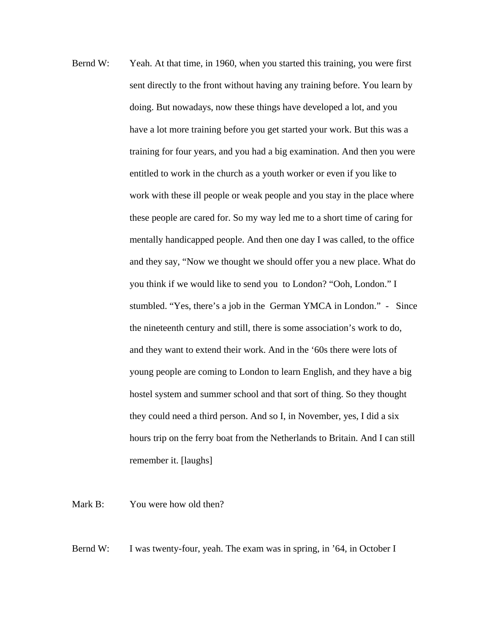Bernd W: Yeah. At that time, in 1960, when you started this training, you were first sent directly to the front without having any training before. You learn by doing. But nowadays, now these things have developed a lot, and you have a lot more training before you get started your work. But this was a training for four years, and you had a big examination. And then you were entitled to work in the church as a youth worker or even if you like to work with these ill people or weak people and you stay in the place where these people are cared for. So my way led me to a short time of caring for mentally handicapped people. And then one day I was called, to the office and they say, "Now we thought we should offer you a new place. What do you think if we would like to send you to London? "Ooh, London." I stumbled. "Yes, there's a job in the German YMCA in London." - Since the nineteenth century and still, there is some association's work to do, and they want to extend their work. And in the '60s there were lots of young people are coming to London to learn English, and they have a big hostel system and summer school and that sort of thing. So they thought they could need a third person. And so I, in November, yes, I did a six hours trip on the ferry boat from the Netherlands to Britain. And I can still remember it. [laughs]

Mark B: You were how old then?

Bernd W: I was twenty-four, yeah. The exam was in spring, in '64, in October I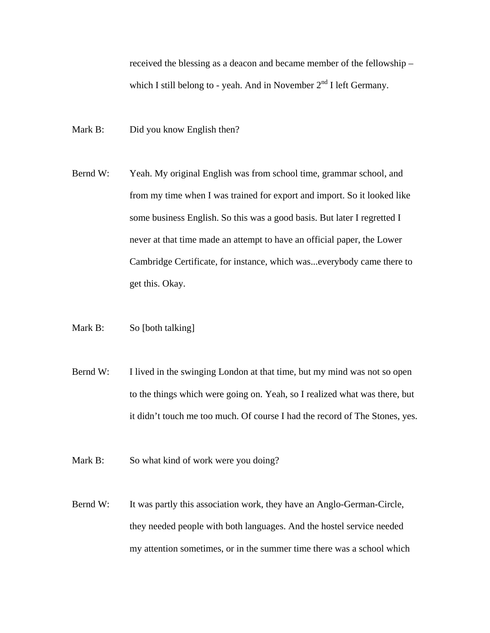received the blessing as a deacon and became member of the fellowship – which I still belong to - yeah. And in November  $2<sup>nd</sup>$  I left Germany.

- Mark B: Did you know English then?
- Bernd W: Yeah. My original English was from school time, grammar school, and from my time when I was trained for export and import. So it looked like some business English. So this was a good basis. But later I regretted I never at that time made an attempt to have an official paper, the Lower Cambridge Certificate, for instance, which was...everybody came there to get this. Okay.
- Mark B: So [both talking]
- Bernd W: I lived in the swinging London at that time, but my mind was not so open to the things which were going on. Yeah, so I realized what was there, but it didn't touch me too much. Of course I had the record of The Stones, yes.
- Mark B: So what kind of work were you doing?
- Bernd W: It was partly this association work, they have an Anglo-German-Circle, they needed people with both languages. And the hostel service needed my attention sometimes, or in the summer time there was a school which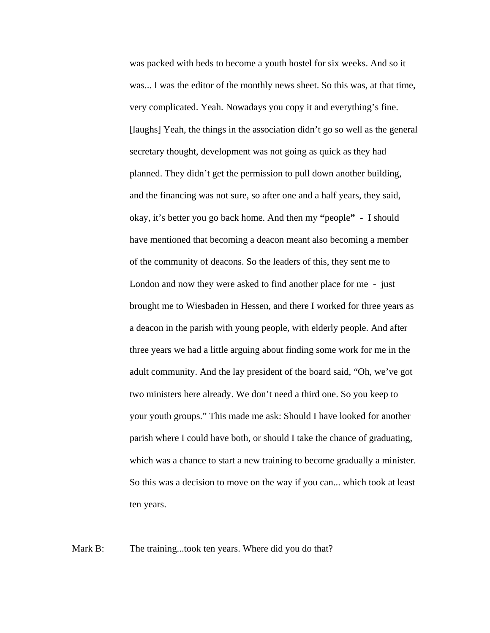was packed with beds to become a youth hostel for six weeks. And so it was... I was the editor of the monthly news sheet. So this was, at that time, very complicated. Yeah. Nowadays you copy it and everything's fine. [laughs] Yeah, the things in the association didn't go so well as the general secretary thought, development was not going as quick as they had planned. They didn't get the permission to pull down another building, and the financing was not sure, so after one and a half years, they said, okay, it's better you go back home. And then my **"**people**"** - I should have mentioned that becoming a deacon meant also becoming a member of the community of deacons. So the leaders of this, they sent me to London and now they were asked to find another place for me - just brought me to Wiesbaden in Hessen, and there I worked for three years as a deacon in the parish with young people, with elderly people. And after three years we had a little arguing about finding some work for me in the adult community. And the lay president of the board said, "Oh, we've got two ministers here already. We don't need a third one. So you keep to your youth groups." This made me ask: Should I have looked for another parish where I could have both, or should I take the chance of graduating, which was a chance to start a new training to become gradually a minister. So this was a decision to move on the way if you can... which took at least ten years.

Mark B: The training...took ten years. Where did you do that?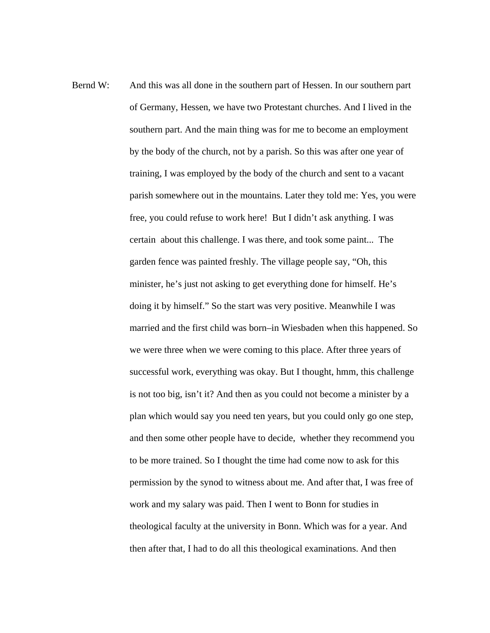Bernd W: And this was all done in the southern part of Hessen. In our southern part of Germany, Hessen, we have two Protestant churches. And I lived in the southern part. And the main thing was for me to become an employment by the body of the church, not by a parish. So this was after one year of training, I was employed by the body of the church and sent to a vacant parish somewhere out in the mountains. Later they told me: Yes, you were free, you could refuse to work here! But I didn't ask anything. I was certain about this challenge. I was there, and took some paint... The garden fence was painted freshly. The village people say, "Oh, this minister, he's just not asking to get everything done for himself. He's doing it by himself." So the start was very positive. Meanwhile I was married and the first child was born–in Wiesbaden when this happened. So we were three when we were coming to this place. After three years of successful work, everything was okay. But I thought, hmm, this challenge is not too big, isn't it? And then as you could not become a minister by a plan which would say you need ten years, but you could only go one step, and then some other people have to decide, whether they recommend you to be more trained. So I thought the time had come now to ask for this permission by the synod to witness about me. And after that, I was free of work and my salary was paid. Then I went to Bonn for studies in theological faculty at the university in Bonn. Which was for a year. And then after that, I had to do all this theological examinations. And then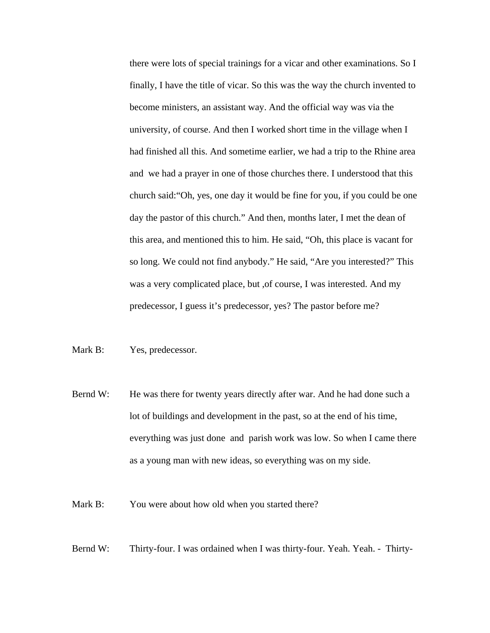there were lots of special trainings for a vicar and other examinations. So I finally, I have the title of vicar. So this was the way the church invented to become ministers, an assistant way. And the official way was via the university, of course. And then I worked short time in the village when I had finished all this. And sometime earlier, we had a trip to the Rhine area and we had a prayer in one of those churches there. I understood that this church said:"Oh, yes, one day it would be fine for you, if you could be one day the pastor of this church." And then, months later, I met the dean of this area, and mentioned this to him. He said, "Oh, this place is vacant for so long. We could not find anybody." He said, "Are you interested?" This was a very complicated place, but ,of course, I was interested. And my predecessor, I guess it's predecessor, yes? The pastor before me?

## Mark B: Yes, predecessor.

Bernd W: He was there for twenty years directly after war. And he had done such a lot of buildings and development in the past, so at the end of his time, everything was just done and parish work was low. So when I came there as a young man with new ideas, so everything was on my side.

Mark B: You were about how old when you started there?

Bernd W: Thirty-four. I was ordained when I was thirty-four. Yeah. Yeah. - Thirty-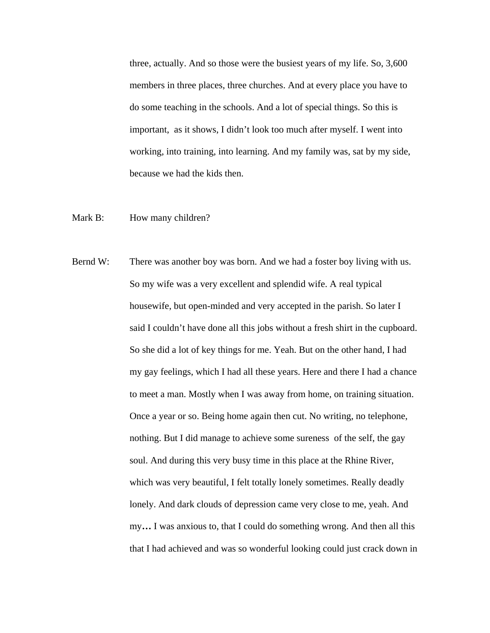three, actually. And so those were the busiest years of my life. So, 3,600 members in three places, three churches. And at every place you have to do some teaching in the schools. And a lot of special things. So this is important, as it shows, I didn't look too much after myself. I went into working, into training, into learning. And my family was, sat by my side, because we had the kids then.

- Mark B: How many children?
- Bernd W: There was another boy was born. And we had a foster boy living with us. So my wife was a very excellent and splendid wife. A real typical housewife, but open-minded and very accepted in the parish. So later I said I couldn't have done all this jobs without a fresh shirt in the cupboard. So she did a lot of key things for me. Yeah. But on the other hand, I had my gay feelings, which I had all these years. Here and there I had a chance to meet a man. Mostly when I was away from home, on training situation. Once a year or so. Being home again then cut. No writing, no telephone, nothing. But I did manage to achieve some sureness of the self, the gay soul. And during this very busy time in this place at the Rhine River, which was very beautiful, I felt totally lonely sometimes. Really deadly lonely. And dark clouds of depression came very close to me, yeah. And my**…** I was anxious to, that I could do something wrong. And then all this that I had achieved and was so wonderful looking could just crack down in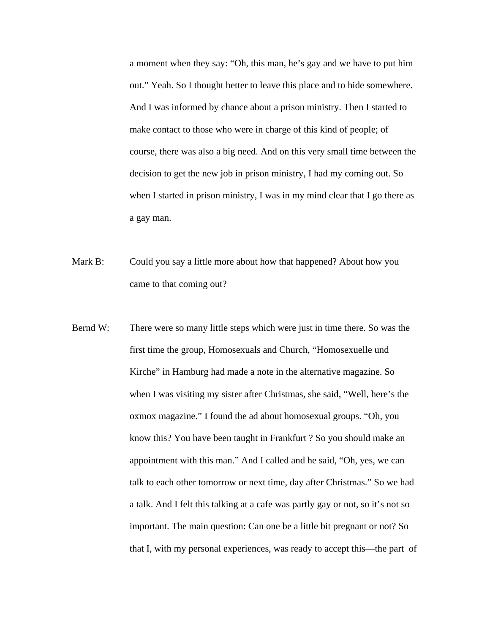a moment when they say: "Oh, this man, he's gay and we have to put him out." Yeah. So I thought better to leave this place and to hide somewhere. And I was informed by chance about a prison ministry. Then I started to make contact to those who were in charge of this kind of people; of course, there was also a big need. And on this very small time between the decision to get the new job in prison ministry, I had my coming out. So when I started in prison ministry, I was in my mind clear that I go there as a gay man.

- Mark B: Could you say a little more about how that happened? About how you came to that coming out?
- Bernd W: There were so many little steps which were just in time there. So was the first time the group, Homosexuals and Church, "Homosexuelle und Kirche" in Hamburg had made a note in the alternative magazine. So when I was visiting my sister after Christmas, she said, "Well, here's the oxmox magazine." I found the ad about homosexual groups. "Oh, you know this? You have been taught in Frankfurt ? So you should make an appointment with this man." And I called and he said, "Oh, yes, we can talk to each other tomorrow or next time, day after Christmas." So we had a talk. And I felt this talking at a cafe was partly gay or not, so it's not so important. The main question: Can one be a little bit pregnant or not? So that I, with my personal experiences, was ready to accept this—the part of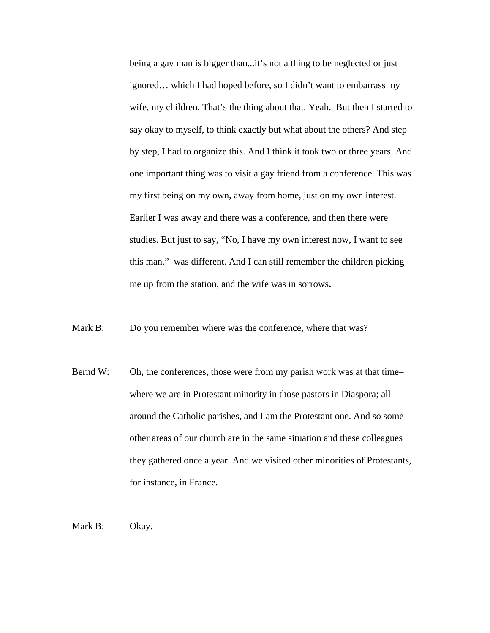being a gay man is bigger than...it's not a thing to be neglected or just ignored… which I had hoped before, so I didn't want to embarrass my wife, my children. That's the thing about that. Yeah. But then I started to say okay to myself, to think exactly but what about the others? And step by step, I had to organize this. And I think it took two or three years. And one important thing was to visit a gay friend from a conference. This was my first being on my own, away from home, just on my own interest. Earlier I was away and there was a conference, and then there were studies. But just to say, "No, I have my own interest now, I want to see this man." was different. And I can still remember the children picking me up from the station, and the wife was in sorrows**.** 

Mark B: Do you remember where was the conference, where that was?

Bernd W: Oh, the conferences, those were from my parish work was at that time– where we are in Protestant minority in those pastors in Diaspora; all around the Catholic parishes, and I am the Protestant one. And so some other areas of our church are in the same situation and these colleagues they gathered once a year. And we visited other minorities of Protestants, for instance, in France.

Mark B: Okay.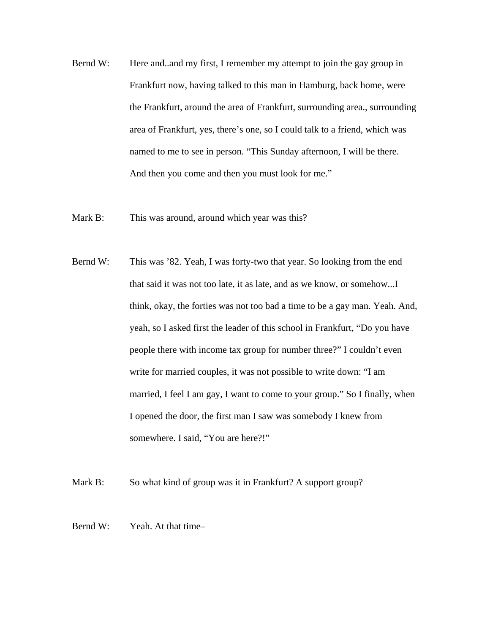- Bernd W: Here and and my first, I remember my attempt to join the gay group in Frankfurt now, having talked to this man in Hamburg, back home, were the Frankfurt, around the area of Frankfurt, surrounding area., surrounding area of Frankfurt, yes, there's one, so I could talk to a friend, which was named to me to see in person. "This Sunday afternoon, I will be there. And then you come and then you must look for me."
- Mark B: This was around, around which year was this?
- Bernd W: This was '82. Yeah, I was forty-two that year. So looking from the end that said it was not too late, it as late, and as we know, or somehow...I think, okay, the forties was not too bad a time to be a gay man. Yeah. And, yeah, so I asked first the leader of this school in Frankfurt, "Do you have people there with income tax group for number three?" I couldn't even write for married couples, it was not possible to write down: "I am married, I feel I am gay, I want to come to your group." So I finally, when I opened the door, the first man I saw was somebody I knew from somewhere. I said, "You are here?!"

Mark B: So what kind of group was it in Frankfurt? A support group?

Bernd W: Yeah. At that time–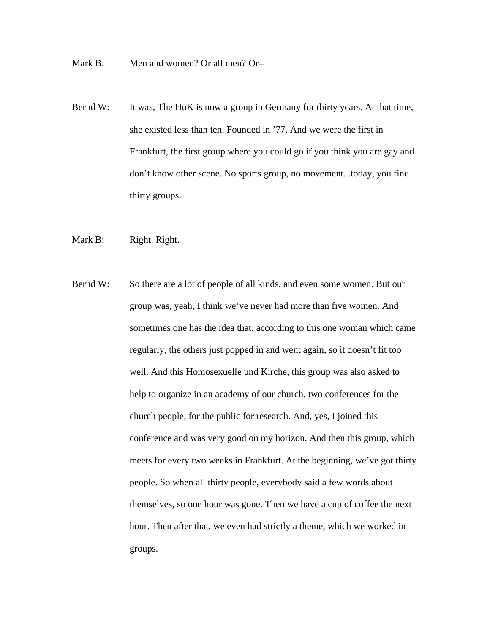Mark B: Men and women? Or all men? Or–

- Bernd W: It was, The HuK is now a group in Germany for thirty years. At that time, she existed less than ten. Founded in '77. And we were the first in Frankfurt, the first group where you could go if you think you are gay and don't know other scene. No sports group, no movement...today, you find thirty groups.
- Mark B: Right. Right.
- Bernd W: So there are a lot of people of all kinds, and even some women. But our group was, yeah, I think we've never had more than five women. And sometimes one has the idea that, according to this one woman which came regularly, the others just popped in and went again, so it doesn't fit too well. And this Homosexuelle und Kirche, this group was also asked to help to organize in an academy of our church, two conferences for the church people, for the public for research. And, yes, I joined this conference and was very good on my horizon. And then this group, which meets for every two weeks in Frankfurt. At the beginning, we've got thirty people. So when all thirty people, everybody said a few words about themselves, so one hour was gone. Then we have a cup of coffee the next hour. Then after that, we even had strictly a theme, which we worked in groups.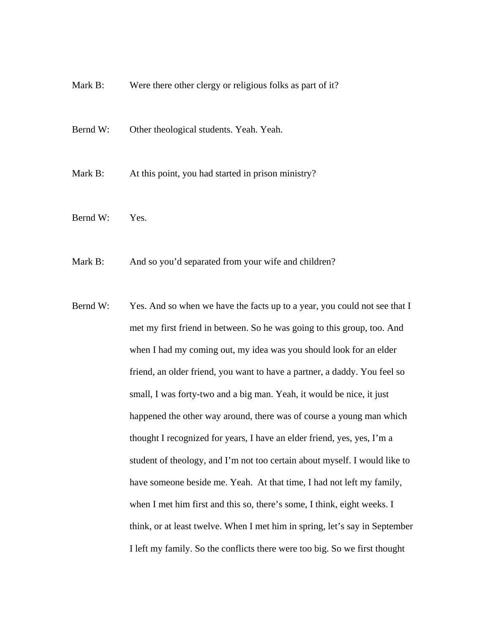- Mark B: Were there other clergy or religious folks as part of it?
- Bernd W: Other theological students. Yeah. Yeah.

Mark B: At this point, you had started in prison ministry?

Bernd W: Yes.

Mark B: And so you'd separated from your wife and children?

Bernd W: Yes. And so when we have the facts up to a year, you could not see that I met my first friend in between. So he was going to this group, too. And when I had my coming out, my idea was you should look for an elder friend, an older friend, you want to have a partner, a daddy. You feel so small, I was forty-two and a big man. Yeah, it would be nice, it just happened the other way around, there was of course a young man which thought I recognized for years, I have an elder friend, yes, yes, I'm a student of theology, and I'm not too certain about myself. I would like to have someone beside me. Yeah. At that time, I had not left my family, when I met him first and this so, there's some, I think, eight weeks. I think, or at least twelve. When I met him in spring, let's say in September I left my family. So the conflicts there were too big. So we first thought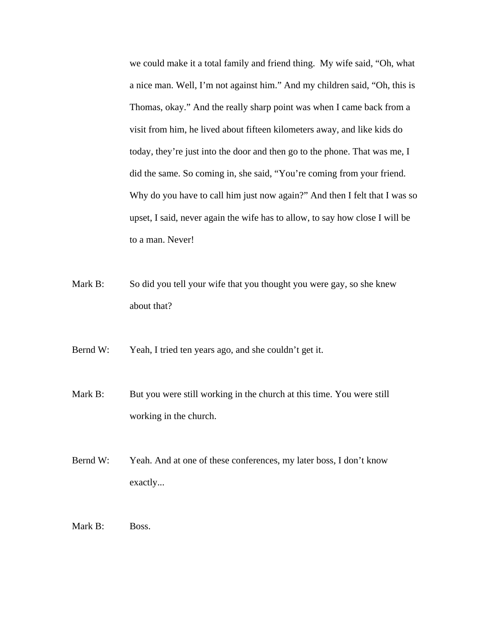we could make it a total family and friend thing. My wife said, "Oh, what a nice man. Well, I'm not against him." And my children said, "Oh, this is Thomas, okay." And the really sharp point was when I came back from a visit from him, he lived about fifteen kilometers away, and like kids do today, they're just into the door and then go to the phone. That was me, I did the same. So coming in, she said, "You're coming from your friend. Why do you have to call him just now again?" And then I felt that I was so upset, I said, never again the wife has to allow, to say how close I will be to a man. Never!

Mark B: So did you tell your wife that you thought you were gay, so she knew about that?

Bernd W: Yeah, I tried ten years ago, and she couldn't get it.

- Mark B: But you were still working in the church at this time. You were still working in the church.
- Bernd W: Yeah. And at one of these conferences, my later boss, I don't know exactly...

Mark B: Boss.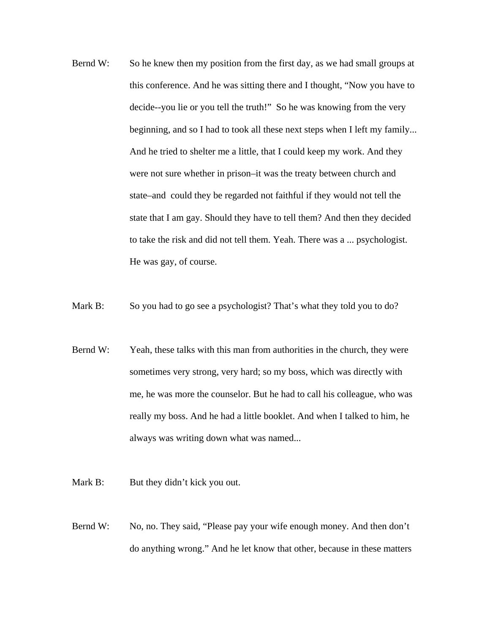- Bernd W: So he knew then my position from the first day, as we had small groups at this conference. And he was sitting there and I thought, "Now you have to decide--you lie or you tell the truth!" So he was knowing from the very beginning, and so I had to took all these next steps when I left my family... And he tried to shelter me a little, that I could keep my work. And they were not sure whether in prison–it was the treaty between church and state–and could they be regarded not faithful if they would not tell the state that I am gay. Should they have to tell them? And then they decided to take the risk and did not tell them. Yeah. There was a ... psychologist. He was gay, of course.
- Mark B: So you had to go see a psychologist? That's what they told you to do?
- Bernd W: Yeah, these talks with this man from authorities in the church, they were sometimes very strong, very hard; so my boss, which was directly with me, he was more the counselor. But he had to call his colleague, who was really my boss. And he had a little booklet. And when I talked to him, he always was writing down what was named...
- Mark B: But they didn't kick you out.
- Bernd W: No, no. They said, "Please pay your wife enough money. And then don't do anything wrong." And he let know that other, because in these matters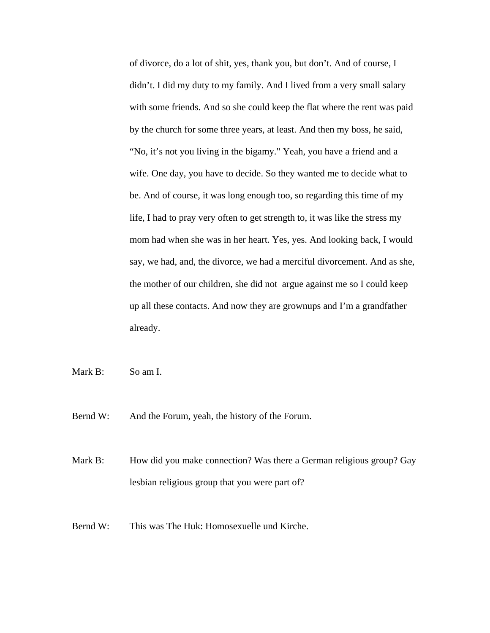of divorce, do a lot of shit, yes, thank you, but don't. And of course, I didn't. I did my duty to my family. And I lived from a very small salary with some friends. And so she could keep the flat where the rent was paid by the church for some three years, at least. And then my boss, he said, "No, it's not you living in the bigamy." Yeah, you have a friend and a wife. One day, you have to decide. So they wanted me to decide what to be. And of course, it was long enough too, so regarding this time of my life, I had to pray very often to get strength to, it was like the stress my mom had when she was in her heart. Yes, yes. And looking back, I would say, we had, and, the divorce, we had a merciful divorcement. And as she, the mother of our children, she did not argue against me so I could keep up all these contacts. And now they are grownups and I'm a grandfather already.

Mark B: So am I.

Bernd W: And the Forum, yeah, the history of the Forum.

Mark B: How did you make connection? Was there a German religious group? Gay lesbian religious group that you were part of?

Bernd W: This was The Huk: Homosexuelle und Kirche.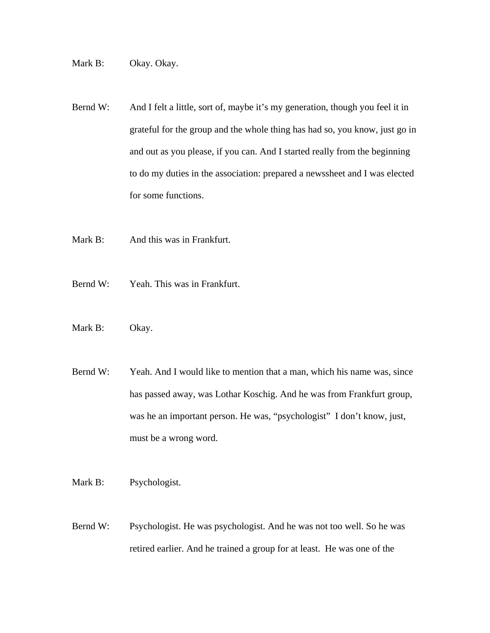Mark B: Okay. Okay.

- Bernd W: And I felt a little, sort of, maybe it's my generation, though you feel it in grateful for the group and the whole thing has had so, you know, just go in and out as you please, if you can. And I started really from the beginning to do my duties in the association: prepared a newssheet and I was elected for some functions.
- Mark B: And this was in Frankfurt.
- Bernd W: Yeah. This was in Frankfurt.
- Mark B: Okay.
- Bernd W: Yeah. And I would like to mention that a man, which his name was, since has passed away, was Lothar Koschig. And he was from Frankfurt group, was he an important person. He was, "psychologist" I don't know, just, must be a wrong word.
- Mark B: Psychologist.
- Bernd W: Psychologist. He was psychologist. And he was not too well. So he was retired earlier. And he trained a group for at least. He was one of the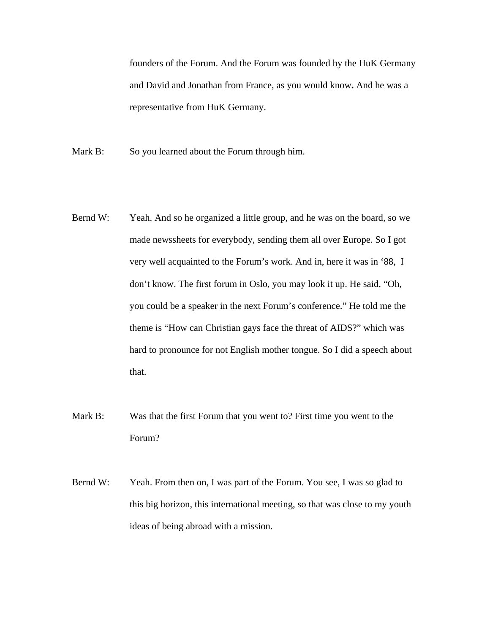founders of the Forum. And the Forum was founded by the HuK Germany and David and Jonathan from France, as you would know**.** And he was a representative from HuK Germany.

- Mark B: So you learned about the Forum through him.
- Bernd W: Yeah. And so he organized a little group, and he was on the board, so we made newssheets for everybody, sending them all over Europe. So I got very well acquainted to the Forum's work. And in, here it was in '88, I don't know. The first forum in Oslo, you may look it up. He said, "Oh, you could be a speaker in the next Forum's conference." He told me the theme is "How can Christian gays face the threat of AIDS?" which was hard to pronounce for not English mother tongue. So I did a speech about that.
- Mark B: Was that the first Forum that you went to? First time you went to the Forum?
- Bernd W: Yeah. From then on, I was part of the Forum. You see, I was so glad to this big horizon, this international meeting, so that was close to my youth ideas of being abroad with a mission.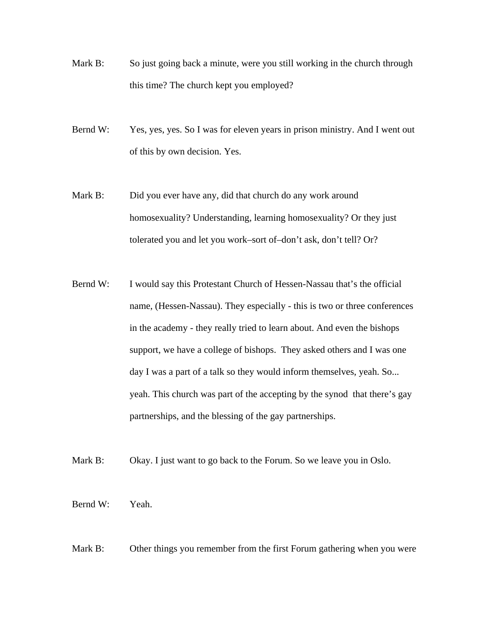- Mark B: So just going back a minute, were you still working in the church through this time? The church kept you employed?
- Bernd W: Yes, yes, yes. So I was for eleven years in prison ministry. And I went out of this by own decision. Yes.
- Mark B: Did you ever have any, did that church do any work around homosexuality? Understanding, learning homosexuality? Or they just tolerated you and let you work–sort of–don't ask, don't tell? Or?
- Bernd W: I would say this Protestant Church of Hessen-Nassau that's the official name, (Hessen-Nassau). They especially - this is two or three conferences in the academy - they really tried to learn about. And even the bishops support, we have a college of bishops. They asked others and I was one day I was a part of a talk so they would inform themselves, yeah. So... yeah. This church was part of the accepting by the synod that there's gay partnerships, and the blessing of the gay partnerships.
- Mark B: Okay. I just want to go back to the Forum. So we leave you in Oslo.
- Bernd W: Yeah.
- Mark B: Other things you remember from the first Forum gathering when you were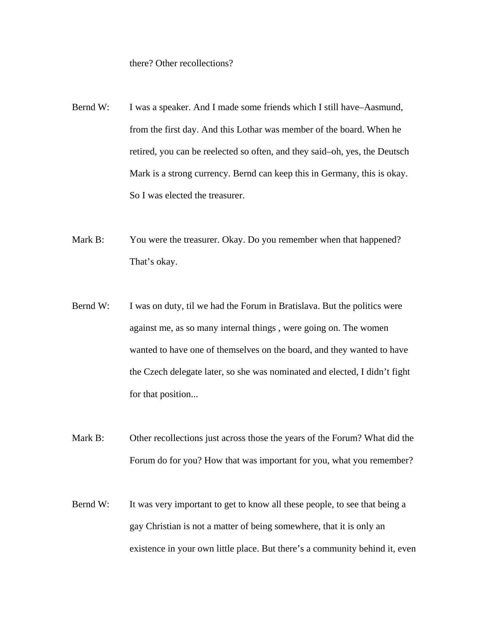there? Other recollections?

- Bernd W: I was a speaker. And I made some friends which I still have–Aasmund, from the first day. And this Lothar was member of the board. When he retired, you can be reelected so often, and they said–oh, yes, the Deutsch Mark is a strong currency. Bernd can keep this in Germany, this is okay. So I was elected the treasurer.
- Mark B: You were the treasurer. Okay. Do you remember when that happened? That's okay.
- Bernd W: I was on duty, til we had the Forum in Bratislava. But the politics were against me, as so many internal things , were going on. The women wanted to have one of themselves on the board, and they wanted to have the Czech delegate later, so she was nominated and elected, I didn't fight for that position...
- Mark B: Other recollections just across those the years of the Forum? What did the Forum do for you? How that was important for you, what you remember?
- Bernd W: It was very important to get to know all these people, to see that being a gay Christian is not a matter of being somewhere, that it is only an existence in your own little place. But there's a community behind it, even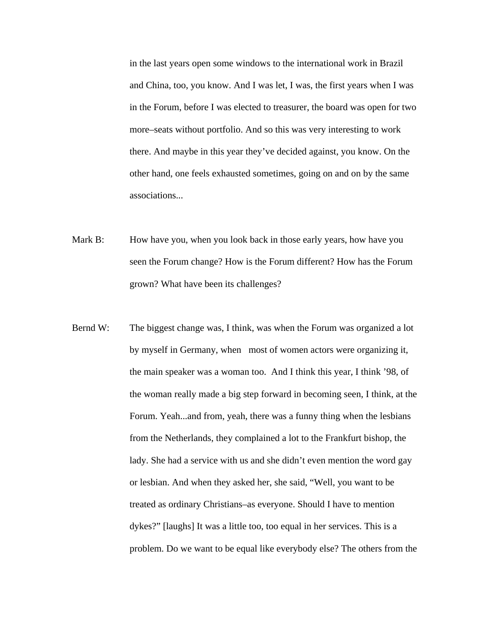in the last years open some windows to the international work in Brazil and China, too, you know. And I was let, I was, the first years when I was in the Forum, before I was elected to treasurer, the board was open for two more–seats without portfolio. And so this was very interesting to work there. And maybe in this year they've decided against, you know. On the other hand, one feels exhausted sometimes, going on and on by the same associations...

- Mark B: How have you, when you look back in those early years, how have you seen the Forum change? How is the Forum different? How has the Forum grown? What have been its challenges?
- Bernd W: The biggest change was, I think, was when the Forum was organized a lot by myself in Germany, when most of women actors were organizing it, the main speaker was a woman too. And I think this year, I think '98, of the woman really made a big step forward in becoming seen, I think, at the Forum. Yeah...and from, yeah, there was a funny thing when the lesbians from the Netherlands, they complained a lot to the Frankfurt bishop, the lady. She had a service with us and she didn't even mention the word gay or lesbian. And when they asked her, she said, "Well, you want to be treated as ordinary Christians–as everyone. Should I have to mention dykes?" [laughs] It was a little too, too equal in her services. This is a problem. Do we want to be equal like everybody else? The others from the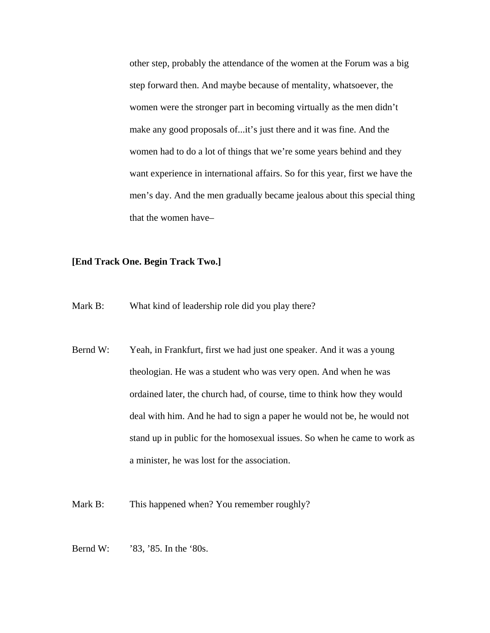other step, probably the attendance of the women at the Forum was a big step forward then. And maybe because of mentality, whatsoever, the women were the stronger part in becoming virtually as the men didn't make any good proposals of...it's just there and it was fine. And the women had to do a lot of things that we're some years behind and they want experience in international affairs. So for this year, first we have the men's day. And the men gradually became jealous about this special thing that the women have–

## **[End Track One. Begin Track Two.]**

- Mark B: What kind of leadership role did you play there?
- Bernd W: Yeah, in Frankfurt, first we had just one speaker. And it was a young theologian. He was a student who was very open. And when he was ordained later, the church had, of course, time to think how they would deal with him. And he had to sign a paper he would not be, he would not stand up in public for the homosexual issues. So when he came to work as a minister, he was lost for the association.
- Mark B: This happened when? You remember roughly?
- Bernd W: '83, '85. In the '80s.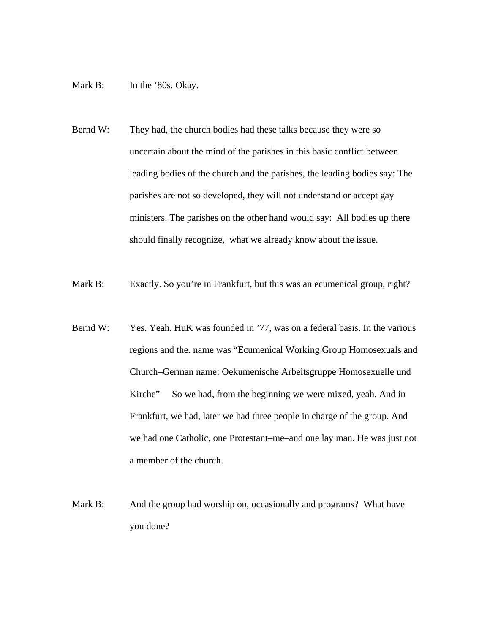- Mark B: In the '80s. Okay.
- Bernd W: They had, the church bodies had these talks because they were so uncertain about the mind of the parishes in this basic conflict between leading bodies of the church and the parishes, the leading bodies say: The parishes are not so developed, they will not understand or accept gay ministers. The parishes on the other hand would say: All bodies up there should finally recognize, what we already know about the issue.
- Mark B: Exactly. So you're in Frankfurt, but this was an ecumenical group, right?
- Bernd W: Yes. Yeah. HuK was founded in '77, was on a federal basis. In the various regions and the. name was "Ecumenical Working Group Homosexuals and Church–German name: Oekumenische Arbeitsgruppe Homosexuelle und Kirche" So we had, from the beginning we were mixed, yeah. And in Frankfurt, we had, later we had three people in charge of the group. And we had one Catholic, one Protestant–me–and one lay man. He was just not a member of the church.
- Mark B: And the group had worship on, occasionally and programs? What have you done?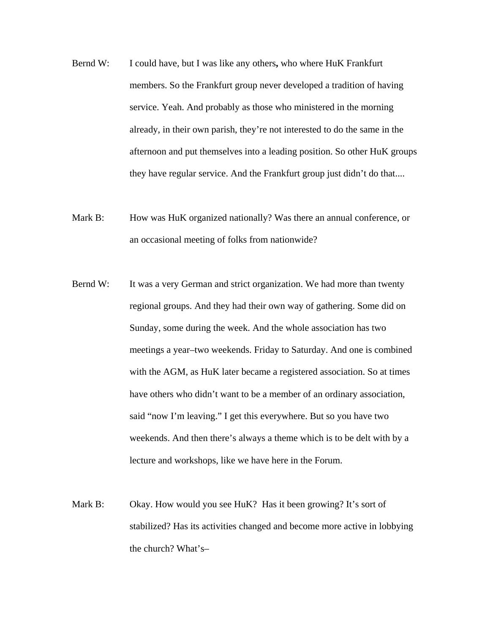- Bernd W: I could have, but I was like any others**,** who where HuK Frankfurt members. So the Frankfurt group never developed a tradition of having service. Yeah. And probably as those who ministered in the morning already, in their own parish, they're not interested to do the same in the afternoon and put themselves into a leading position. So other HuK groups they have regular service. And the Frankfurt group just didn't do that....
- Mark B: How was HuK organized nationally? Was there an annual conference, or an occasional meeting of folks from nationwide?
- Bernd W: It was a very German and strict organization. We had more than twenty regional groups. And they had their own way of gathering. Some did on Sunday, some during the week. And the whole association has two meetings a year–two weekends. Friday to Saturday. And one is combined with the AGM, as HuK later became a registered association. So at times have others who didn't want to be a member of an ordinary association, said "now I'm leaving." I get this everywhere. But so you have two weekends. And then there's always a theme which is to be delt with by a lecture and workshops, like we have here in the Forum.
- Mark B: Okay. How would you see HuK? Has it been growing? It's sort of stabilized? Has its activities changed and become more active in lobbying the church? What's–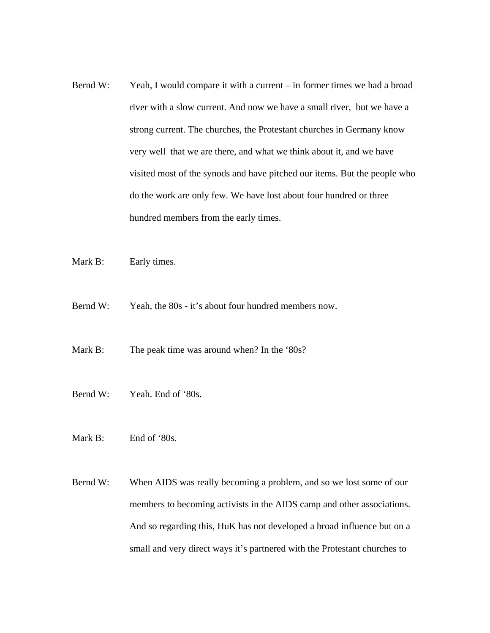- Bernd W: Yeah, I would compare it with a current in former times we had a broad river with a slow current. And now we have a small river, but we have a strong current. The churches, the Protestant churches in Germany know very well that we are there, and what we think about it, and we have visited most of the synods and have pitched our items. But the people who do the work are only few. We have lost about four hundred or three hundred members from the early times.
- Mark B: Early times.
- Bernd W: Yeah, the 80s it's about four hundred members now.
- Mark B: The peak time was around when? In the '80s?
- Bernd W: Yeah. End of '80s.
- Mark B: End of '80s.
- Bernd W: When AIDS was really becoming a problem, and so we lost some of our members to becoming activists in the AIDS camp and other associations. And so regarding this, HuK has not developed a broad influence but on a small and very direct ways it's partnered with the Protestant churches to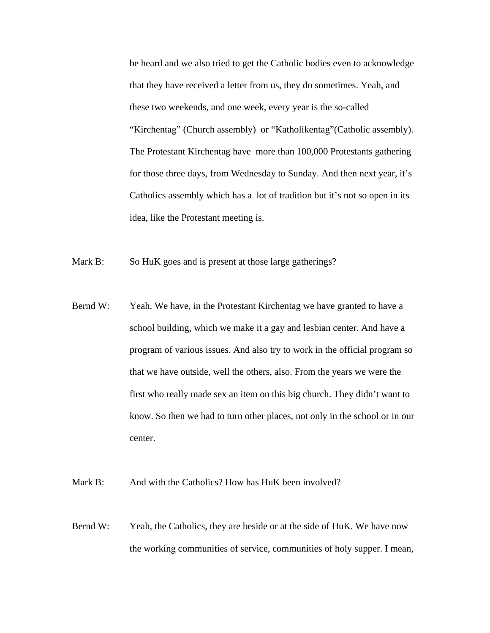be heard and we also tried to get the Catholic bodies even to acknowledge that they have received a letter from us, they do sometimes. Yeah, and these two weekends, and one week, every year is the so-called "Kirchentag" (Church assembly) or "Katholikentag" (Catholic assembly). The Protestant Kirchentag have more than 100,000 Protestants gathering for those three days, from Wednesday to Sunday. And then next year, it's Catholics assembly which has a lot of tradition but it's not so open in its idea, like the Protestant meeting is.

Mark B: So HuK goes and is present at those large gatherings?

Bernd W: Yeah. We have, in the Protestant Kirchentag we have granted to have a school building, which we make it a gay and lesbian center. And have a program of various issues. And also try to work in the official program so that we have outside, well the others, also. From the years we were the first who really made sex an item on this big church. They didn't want to know. So then we had to turn other places, not only in the school or in our center.

Mark B: And with the Catholics? How has HuK been involved?

Bernd W: Yeah, the Catholics, they are beside or at the side of HuK. We have now the working communities of service, communities of holy supper. I mean,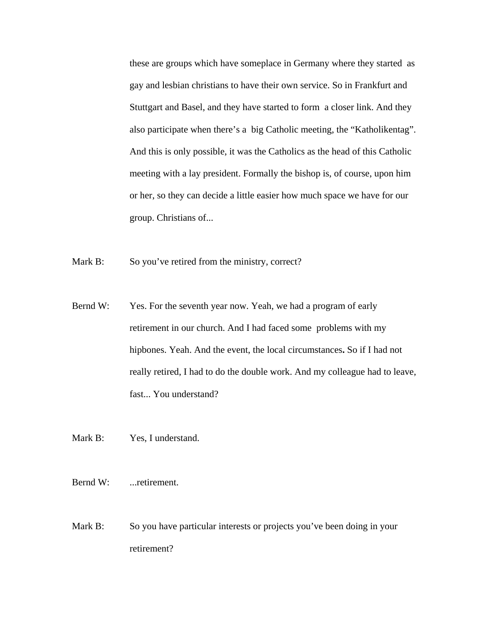these are groups which have someplace in Germany where they started as gay and lesbian christians to have their own service. So in Frankfurt and Stuttgart and Basel, and they have started to form a closer link. And they also participate when there's a big Catholic meeting, the "Katholikentag". And this is only possible, it was the Catholics as the head of this Catholic meeting with a lay president. Formally the bishop is, of course, upon him or her, so they can decide a little easier how much space we have for our group. Christians of...

- Mark B: So you've retired from the ministry, correct?
- Bernd W: Yes. For the seventh year now. Yeah, we had a program of early retirement in our church. And I had faced some problems with my hipbones. Yeah. And the event, the local circumstances**.** So if I had not really retired, I had to do the double work. And my colleague had to leave, fast... You understand?
- Mark B: Yes, I understand.
- Bernd W: .... retirement.
- Mark B: So you have particular interests or projects you've been doing in your retirement?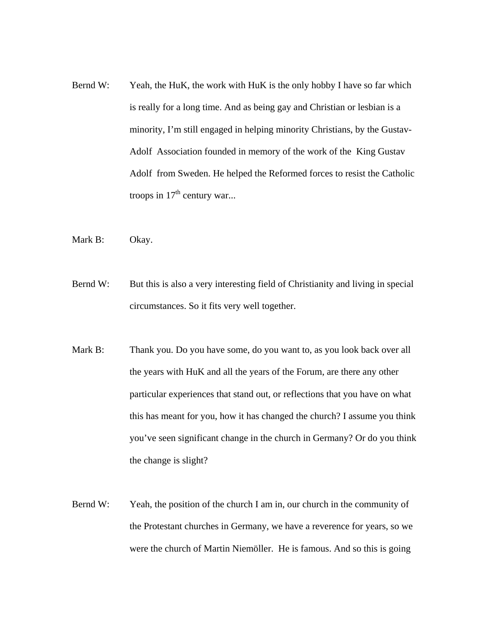- Bernd W: Yeah, the HuK, the work with HuK is the only hobby I have so far which is really for a long time. And as being gay and Christian or lesbian is a minority, I'm still engaged in helping minority Christians, by the Gustav-Adolf Association founded in memory of the work of the King Gustav Adolf from Sweden. He helped the Reformed forces to resist the Catholic troops in  $17<sup>th</sup>$  century war...
- Mark B: Okay.
- Bernd W: But this is also a very interesting field of Christianity and living in special circumstances. So it fits very well together.
- Mark B: Thank you. Do you have some, do you want to, as you look back over all the years with HuK and all the years of the Forum, are there any other particular experiences that stand out, or reflections that you have on what this has meant for you, how it has changed the church? I assume you think you've seen significant change in the church in Germany? Or do you think the change is slight?
- Bernd W: Yeah, the position of the church I am in, our church in the community of the Protestant churches in Germany, we have a reverence for years, so we were the church of Martin Niemöller. He is famous. And so this is going